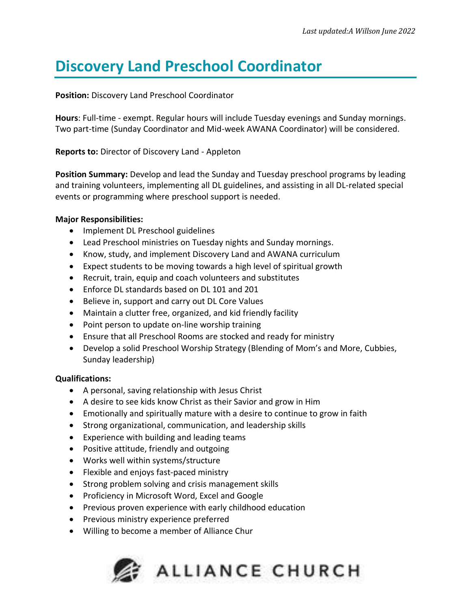# **Discovery Land Preschool Coordinator**

# **Position:** Discovery Land Preschool Coordinator

**Hours**: Full-time - exempt. Regular hours will include Tuesday evenings and Sunday mornings. Two part-time (Sunday Coordinator and Mid-week AWANA Coordinator) will be considered.

**Reports to:** Director of Discovery Land - Appleton

**Position Summary:** Develop and lead the Sunday and Tuesday preschool programs by leading and training volunteers, implementing all DL guidelines, and assisting in all DL-related special events or programming where preschool support is needed.

# **Major Responsibilities:**

- Implement DL Preschool guidelines
- Lead Preschool ministries on Tuesday nights and Sunday mornings.
- Know, study, and implement Discovery Land and AWANA curriculum
- Expect students to be moving towards a high level of spiritual growth
- Recruit, train, equip and coach volunteers and substitutes
- Enforce DL standards based on DL 101 and 201
- Believe in, support and carry out DL Core Values
- Maintain a clutter free, organized, and kid friendly facility
- Point person to update on-line worship training
- Ensure that all Preschool Rooms are stocked and ready for ministry
- Develop a solid Preschool Worship Strategy (Blending of Mom's and More, Cubbies, Sunday leadership)

# **Qualifications:**

- A personal, saving relationship with Jesus Christ
- A desire to see kids know Christ as their Savior and grow in Him
- Emotionally and spiritually mature with a desire to continue to grow in faith
- Strong organizational, communication, and leadership skills
- Experience with building and leading teams
- Positive attitude, friendly and outgoing
- Works well within systems/structure
- Flexible and enjoys fast-paced ministry
- Strong problem solving and crisis management skills
- Proficiency in Microsoft Word, Excel and Google
- Previous proven experience with early childhood education
- Previous ministry experience preferred
- Willing to become a member of Alliance Chur

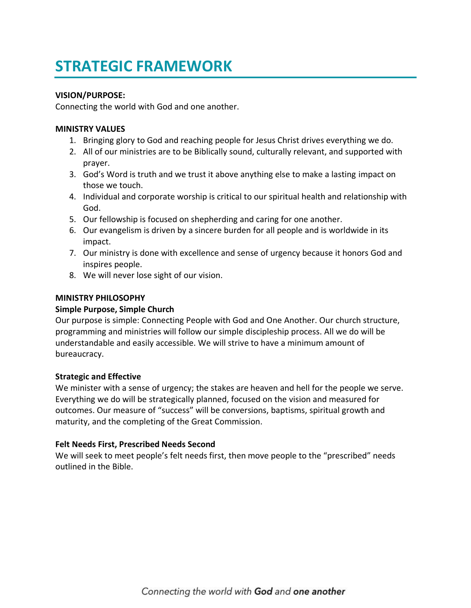# **STRATEGIC FRAMEWORK**

## **VISION/PURPOSE:**

Connecting the world with God and one another.

## **MINISTRY VALUES**

- 1. Bringing glory to God and reaching people for Jesus Christ drives everything we do.
- 2. All of our ministries are to be Biblically sound, culturally relevant, and supported with prayer.
- 3. God's Word is truth and we trust it above anything else to make a lasting impact on those we touch.
- 4. Individual and corporate worship is critical to our spiritual health and relationship with God.
- 5. Our fellowship is focused on shepherding and caring for one another.
- 6. Our evangelism is driven by a sincere burden for all people and is worldwide in its impact.
- 7. Our ministry is done with excellence and sense of urgency because it honors God and inspires people.
- 8. We will never lose sight of our vision.

## **MINISTRY PHILOSOPHY**

# **Simple Purpose, Simple Church**

Our purpose is simple: Connecting People with God and One Another. Our church structure, programming and ministries will follow our simple discipleship process. All we do will be understandable and easily accessible. We will strive to have a minimum amount of bureaucracy.

#### **Strategic and Effective**

We minister with a sense of urgency; the stakes are heaven and hell for the people we serve. Everything we do will be strategically planned, focused on the vision and measured for outcomes. Our measure of "success" will be conversions, baptisms, spiritual growth and maturity, and the completing of the Great Commission.

#### **Felt Needs First, Prescribed Needs Second**

We will seek to meet people's felt needs first, then move people to the "prescribed" needs outlined in the Bible.